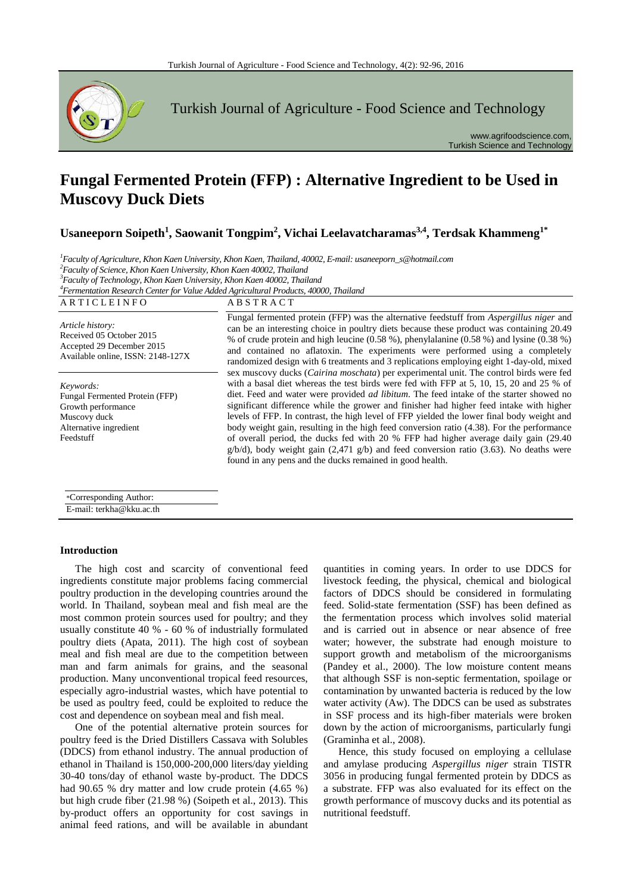

Turkish Journal of Agriculture - Food Science and Technology

www.agrifoodscience.com, Turkish Science and Technology

# **Fungal Fermented Protein (FFP) : Alternative Ingredient to be Used in Muscovy Duck Diets**

**Usaneeporn Soipeth<sup>1</sup> , Saowanit Tongpim<sup>2</sup> , Vichai Leelavatcharamas3,4, Terdsak Khammeng1\***

 *Faculty of Agriculture, Khon Kaen University, Khon Kaen, Thailand, 40002, E-mail: usaneeporn\_s@hotmail.com Faculty of Science, Khon Kaen University, Khon Kaen 40002, Thailand Faculty of Technology, Khon Kaen University, Khon Kaen 40002, Thailand Fermentation Research Center for Value Added Agricultural Products, 40000, Thailand*

| ARTICLEINFO                                                                                                              | <b>ABSTRACT</b>                                                                                                                                                                                                                                                                                                                                                                                                                                                                                                                                                                                                                                                                                                                                                                                                                   |
|--------------------------------------------------------------------------------------------------------------------------|-----------------------------------------------------------------------------------------------------------------------------------------------------------------------------------------------------------------------------------------------------------------------------------------------------------------------------------------------------------------------------------------------------------------------------------------------------------------------------------------------------------------------------------------------------------------------------------------------------------------------------------------------------------------------------------------------------------------------------------------------------------------------------------------------------------------------------------|
| Article history:<br>Received 05 October 2015<br>Accepted 29 December 2015<br>Available online, ISSN: 2148-127X           | Fungal fermented protein (FFP) was the alternative feedstuff from <i>Aspergillus niger</i> and<br>can be an interesting choice in poultry diets because these product was containing 20.49<br>% of crude protein and high leucine (0.58 %), phenylalanine (0.58 %) and lysine (0.38 %)<br>and contained no aflatoxin. The experiments were performed using a completely<br>randomized design with 6 treatments and 3 replications employing eight 1-day-old, mixed                                                                                                                                                                                                                                                                                                                                                                |
| Keywords:<br>Fungal Fermented Protein (FFP)<br>Growth performance<br>Muscovy duck<br>Alternative ingredient<br>Feedstuff | sex muscovy ducks ( <i>Cairina moschata</i> ) per experimental unit. The control birds were fed<br>with a basal diet whereas the test birds were fed with FFP at 5, 10, 15, 20 and 25 % of<br>diet. Feed and water were provided <i>ad libitum</i> . The feed intake of the starter showed no<br>significant difference while the grower and finisher had higher feed intake with higher<br>levels of FFP. In contrast, the high level of FFP yielded the lower final body weight and<br>body weight gain, resulting in the high feed conversion ratio (4.38). For the performance<br>of overall period, the ducks fed with 20 % FFP had higher average daily gain (29.40)<br>$g/b/d$ , body weight gain (2,471 g/b) and feed conversion ratio (3.63). No deaths were<br>found in any pens and the ducks remained in good health. |

\*Corresponding Author: E-mail: terkha@kku.ac.th

## **Introduction**

The high cost and scarcity of conventional feed ingredients constitute major problems facing commercial poultry production in the developing countries around the world. In Thailand, soybean meal and fish meal are the most common protein sources used for poultry; and they usually constitute 40 % - 60 % of industrially formulated poultry diets (Apata, 2011). The high cost of soybean meal and fish meal are due to the competition between man and farm animals for grains, and the seasonal production. Many unconventional tropical feed resources, especially agro-industrial wastes, which have potential to be used as poultry feed, could be exploited to reduce the cost and dependence on soybean meal and fish meal.

One of the potential alternative protein sources for poultry feed is the Dried Distillers Cassava with Solubles (DDCS) from ethanol industry. The annual production of ethanol in Thailand is 150,000-200,000 liters/day yielding 30-40 tons/day of ethanol waste by-product. The DDCS had 90.65 % dry matter and low crude protein (4.65 %) but high crude fiber (21.98 %) (Soipeth et al., 2013). This by-product offers an opportunity for cost savings in animal feed rations, and will be available in abundant quantities in coming years. In order to use DDCS for livestock feeding, the physical, chemical and biological factors of DDCS should be considered in formulating feed. Solid-state fermentation (SSF) has been defined as the fermentation process which involves solid material and is carried out in absence or near absence of free water; however, the substrate had enough moisture to support growth and metabolism of the microorganisms (Pandey et al., 2000). The low moisture content means that although SSF is non-septic fermentation, spoilage or contamination by unwanted bacteria is reduced by the low water activity (Aw). The DDCS can be used as substrates in SSF process and its high-fiber materials were broken down by the action of microorganisms, particularly fungi (Graminha et al., 2008).

Hence, this study focused on employing a cellulase and amylase producing *Aspergillus niger* strain TISTR 3056 in producing fungal fermented protein by DDCS as a substrate. FFP was also evaluated for its effect on the growth performance of muscovy ducks and its potential as nutritional feedstuff.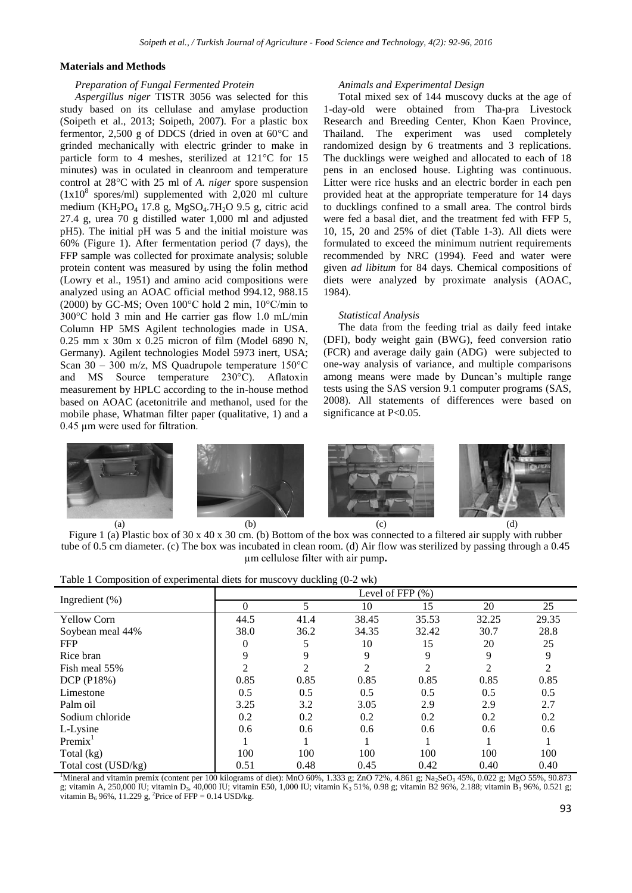## **Materials and Methods**

#### *Preparation of Fungal Fermented Protein*

*Aspergillus niger* TISTR 3056 was selected for this study based on its cellulase and amylase production (Soipeth et al., 2013; Soipeth, 2007). For a plastic box fermentor, 2,500 g of DDCS (dried in oven at 60°C and grinded mechanically with electric grinder to make in particle form to 4 meshes, sterilized at 121°C for 15 minutes) was in oculated in cleanroom and temperature control at 28°C with 25 ml of *A. niger* spore suspension  $(1x10<sup>8</sup>$  spores/ml) supplemented with 2,020 ml culture medium (KH<sub>2</sub>PO<sub>4</sub> 17.8 g, MgSO<sub>4</sub>.7H<sub>2</sub>O 9.5 g, citric acid 27.4 g, urea 70 g distilled water 1,000 ml and adjusted pH5). The initial pH was 5 and the initial moisture was 60% (Figure 1). After fermentation period (7 days), the FFP sample was collected for proximate analysis; soluble protein content was measured by using the folin method (Lowry et al., 1951) and amino acid compositions were analyzed using an AOAC official method 994.12, 988.15 (2000) by GC-MS; Oven 100°C hold 2 min, 10°C/min to 300°C hold 3 min and He carrier gas flow 1.0 mL/min Column HP 5MS Agilent technologies made in USA. 0.25 mm x 30m x 0.25 micron of film (Model 6890 N, Germany). Agilent technologies Model 5973 inert, USA; Scan 30 – 300 m/z, MS Quadrupole temperature 150°C and MS Source temperature 230°C). Aflatoxin measurement by HPLC according to the in-house method based on AOAC (acetonitrile and methanol, used for the mobile phase, Whatman filter paper (qualitative, 1) and a 0.45 µm were used for filtration.

#### *Animals and Experimental Design*

Total mixed sex of 144 muscovy ducks at the age of 1-day-old were obtained from Tha-pra Livestock Research and Breeding Center, Khon Kaen Province, Thailand. The experiment was used completely randomized design by 6 treatments and 3 replications. The ducklings were weighed and allocated to each of 18 pens in an enclosed house. Lighting was continuous. Litter were rice husks and an electric border in each pen provided heat at the appropriate temperature for 14 days to ducklings confined to a small area. The control birds were fed a basal diet, and the treatment fed with FFP 5, 10, 15, 20 and 25% of diet (Table 1-3). All diets were formulated to exceed the minimum nutrient requirements recommended by NRC (1994). Feed and water were given *ad libitum* for 84 days. Chemical compositions of diets were analyzed by proximate analysis (AOAC, 1984).

#### *Statistical Analysis*

The data from the feeding trial as daily feed intake (DFI), body weight gain (BWG), feed conversion ratio (FCR) and average daily gain (ADG) were subjected to one-way analysis of variance, and multiple comparisons among means were made by Duncan's multiple range tests using the SAS version 9.1 computer programs (SAS, 2008). All statements of differences were based on significance at P<0.05.



Figure 1 (a) Plastic box of 30 x 40 x 30 cm. (b) Bottom of the box was connected to a filtered air supply with rubber tube of 0.5 cm diameter. (c) The box was incubated in clean room. (d) Air flow was sterilized by passing through a 0.45 µm cellulose filter with air pump**.**

| Ingredient $(\%)$   |                |                | Level of FFP $(\%)$ |                |                |       |
|---------------------|----------------|----------------|---------------------|----------------|----------------|-------|
|                     | 0              | 5              | 10                  | 15             | 20             | 25    |
| <b>Yellow Corn</b>  | 44.5           | 41.4           | 38.45               | 35.53          | 32.25          | 29.35 |
| Soybean meal 44%    | 38.0           | 36.2           | 34.35               | 32.42          | 30.7           | 28.8  |
| <b>FFP</b>          | 0              |                | 10                  | 15             | 20             | 25    |
| Rice bran           | 9              | 9              | 9                   | 9              | 9              | 9     |
| Fish meal 55%       | $\mathfrak{D}$ | $\mathfrak{D}$ | $\overline{c}$      | $\mathfrak{D}$ | $\overline{c}$ | 2     |
| DCP (P18%)          | 0.85           | 0.85           | 0.85                | 0.85           | 0.85           | 0.85  |
| Limestone           | 0.5            | 0.5            | 0.5                 | 0.5            | 0.5            | 0.5   |
| Palm oil            | 3.25           | 3.2            | 3.05                | 2.9            | 2.9            | 2.7   |
| Sodium chloride     | 0.2            | 0.2            | 0.2                 | 0.2            | 0.2            | 0.2   |
| L-Lysine            | 0.6            | 0.6            | 0.6                 | 0.6            | 0.6            | 0.6   |
| Premix <sup>T</sup> |                |                |                     |                |                |       |
| Total (kg)          | 100            | 100            | 100                 | 100            | 100            | 100   |
| Total cost (USD/kg) | 0.51           | 0.48           | 0.45                | 0.42           | 0.40           | 0.40  |

<sup>1</sup>Mineral and vitamin premix (content per 100 kilograms of diet): MnO 60%, 1.333 g; ZnO 72%, 4.861 g; Na<sub>2</sub>SeO<sub>3</sub> 45%, 0.022 g; MgO 55%, 90.873 g; vitamin A, 250,000 IU; vitamin D<sub>3</sub>, 40,000 IU; vitamin E50, 1,000 IU; vitamin K<sub>3</sub> 51%, 0.98 g; vitamin B2 96%, 2.188; vitamin B<sub>3</sub> 96%, 0.521 g; vitamin B<sub>6</sub> 96%, 11.229 g, <sup>2</sup>Price of FFP = 0.14 USD/kg.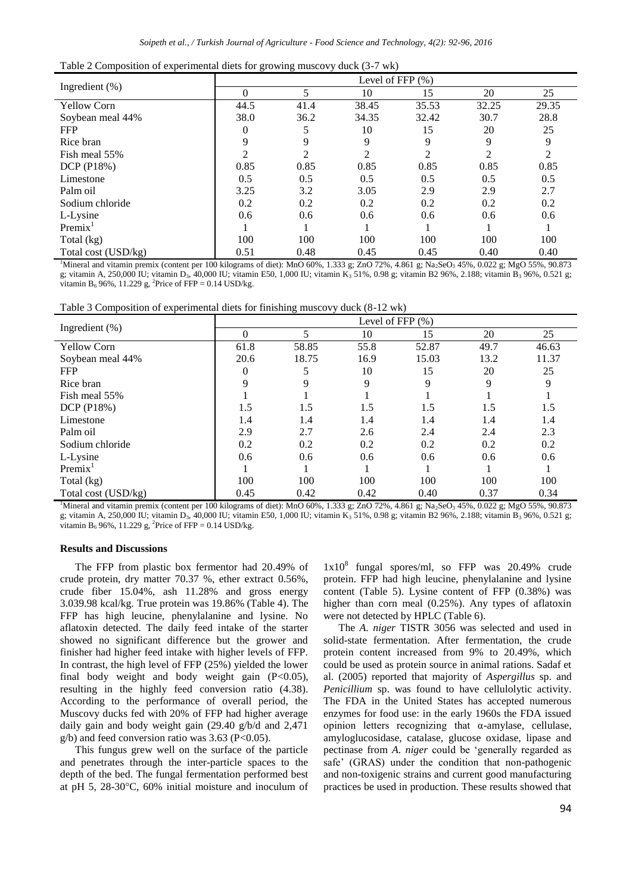|  | Table 2 Composition of experimental diets for growing muscovy duck (3-7 wk) |  |  |  |
|--|-----------------------------------------------------------------------------|--|--|--|
|  |                                                                             |  |  |  |

| Ingredient $(\%)$   | Level of FFP $(\%)$         |                |                |       |                |       |
|---------------------|-----------------------------|----------------|----------------|-------|----------------|-------|
|                     | $\Omega$                    | 5              | 10             | 15    | 20             | 25    |
| <b>Yellow Corn</b>  | 44.5                        | 41.4           | 38.45          | 35.53 | 32.25          | 29.35 |
| Soybean meal 44%    | 38.0                        | 36.2           | 34.35          | 32.42 | 30.7           | 28.8  |
| <b>FFP</b>          |                             |                | 10             | 15    | 20             | 25    |
| Rice bran           | 9                           | 9              | 9              | 9     | 9              | 9     |
| Fish meal 55%       | $\mathcal{D}_{\mathcal{L}}$ | $\mathfrak{D}$ | $\mathfrak{D}$ |       | $\mathfrak{D}$ | 2     |
| DCP (P18%)          | 0.85                        | 0.85           | 0.85           | 0.85  | 0.85           | 0.85  |
| Limestone           | 0.5                         | 0.5            | 0.5            | 0.5   | 0.5            | 0.5   |
| Palm oil            | 3.25                        | 3.2            | 3.05           | 2.9   | 2.9            | 2.7   |
| Sodium chloride     | 0.2                         | 0.2            | 0.2            | 0.2   | 0.2            | 0.2   |
| L-Lysine            | 0.6                         | 0.6            | 0.6            | 0.6   | 0.6            | 0.6   |
| Premix <sup>T</sup> |                             |                |                |       |                |       |
| Total (kg)          | 100                         | 100            | 100            | 100   | 100            | 100   |
| Total cost (USD/kg) | 0.51                        | 0.48           | 0.45           | 0.45  | 0.40           | 0.40  |

<sup>1</sup>Mineral and vitamin premix (content per 100 kilograms of diet): MnO 60%, 1.333 g; ZnO 72%, 4.861 g; Na<sub>2</sub>SeO<sub>3</sub> 45%, 0.022 g; MgO 55%, 90.873 g; vitamin A, 250,000 IU; vitamin D<sub>3</sub>, 40,000 IU; vitamin E50, 1,000 IU; vitamin K<sub>3</sub> 51%, 0.98 g; vitamin B2 96%, 2.188; vitamin B<sub>3</sub> 96%, 0.521 g; vitamin  $B_6$  96%, 11.229 g, <sup>2</sup>Price of FFP = 0.14 USD/kg.

Table 3 Composition of experimental diets for finishing muscovy duck (8-12 wk)

|                     |      | Level of FFP $(\% )$ |      |       |      |       |  |
|---------------------|------|----------------------|------|-------|------|-------|--|
| Ingredient $(\%)$   | 0    | 5.                   | 10   | 15    | 20   | 25    |  |
| <b>Yellow Corn</b>  | 61.8 | 58.85                | 55.8 | 52.87 | 49.7 | 46.63 |  |
| Soybean meal 44%    | 20.6 | 18.75                | 16.9 | 15.03 | 13.2 | 11.37 |  |
| <b>FFP</b>          | 0    | 5                    | 10   | 15    | 20   | 25    |  |
| Rice bran           | 9    | 9                    | 9    | 9     | 9    | 9     |  |
| Fish meal 55%       |      |                      |      |       |      |       |  |
| DCP (P18%)          | 1.5  | 1.5                  | 1.5  | 1.5   | 1.5  | 1.5   |  |
| Limestone           | 1.4  | 1.4                  | 1.4  | 1.4   | 1.4  | 1.4   |  |
| Palm oil            | 2.9  | 2.7                  | 2.6  | 2.4   | 2.4  | 2.3   |  |
| Sodium chloride     | 0.2  | 0.2                  | 0.2  | 0.2   | 0.2  | 0.2   |  |
| L-Lysine            | 0.6  | 0.6                  | 0.6  | 0.6   | 0.6  | 0.6   |  |
| Premix <sup>T</sup> |      |                      |      |       |      |       |  |
| Total (kg)          | 100  | 100                  | 100  | 100   | 100  | 100   |  |
| Total cost (USD/kg) | 0.45 | 0.42                 | 0.42 | 0.40  | 0.37 | 0.34  |  |

<sup>1</sup>Mineral and vitamin premix (content per 100 kilograms of diet): MnO 60%, 1.333 g; ZnO 72%, 4.861 g; Na<sub>2</sub>SeO<sub>3</sub> 45%, 0.022 g; MgO 55%, 90.873 g; vitamin A, 250,000 IU; vitamin D<sub>3</sub>, 40,000 IU; vitamin E50, 1,000 IU; vitamin K<sub>3</sub> 51%, 0.98 g; vitamin B2 96%, 2.188; vitamin B<sub>3</sub> 96%, 0.521 g; vitamin  $B_6$  96%, 11.229 g, <sup>2</sup>Price of FFP = 0.14 USD/kg.

#### **Results and Discussions**

The FFP from plastic box fermentor had 20.49% of crude protein, dry matter 70.37 %, ether extract 0.56%, crude fiber 15.04%, ash 11.28% and gross energy 3.039.98 kcal/kg. True protein was 19.86% (Table 4). The FFP has high leucine, phenylalanine and lysine. No aflatoxin detected. The daily feed intake of the starter showed no significant difference but the grower and finisher had higher feed intake with higher levels of FFP. In contrast, the high level of FFP (25%) yielded the lower final body weight and body weight gain (P<0.05), resulting in the highly feed conversion ratio (4.38). According to the performance of overall period, the Muscovy ducks fed with 20% of FFP had higher average daily gain and body weight gain (29.40 g/b/d and 2,471  $g/b$ ) and feed conversion ratio was 3.63 (P<0.05).

This fungus grew well on the surface of the particle and penetrates through the inter-particle spaces to the depth of the bed. The fungal fermentation performed best at pH 5, 28-30°C, 60% initial moisture and inoculum of

1x10<sup>8</sup> fungal spores/ml, so FFP was 20.49% crude protein. FFP had high leucine, phenylalanine and lysine content (Table 5). Lysine content of FFP (0.38%) was higher than corn meal (0.25%). Any types of aflatoxin were not detected by HPLC (Table 6).

The *A. niger* TISTR 3056 was selected and used in solid-state fermentation. After fermentation, the crude protein content increased from 9% to 20.49%, which could be used as protein source in animal rations. Sadaf et al. (2005) reported that majority of *Aspergillus* sp. and *Penicillium* sp. was found to have cellulolytic activity. The FDA in the United States has accepted numerous enzymes for food use: in the early 1960s the FDA issued opinion letters recognizing that α-amylase, cellulase, amyloglucosidase, catalase, glucose oxidase, lipase and pectinase from *A. niger* could be 'generally regarded as safe' (GRAS) under the condition that non-pathogenic and non-toxigenic strains and current good manufacturing practices be used in production. These results showed that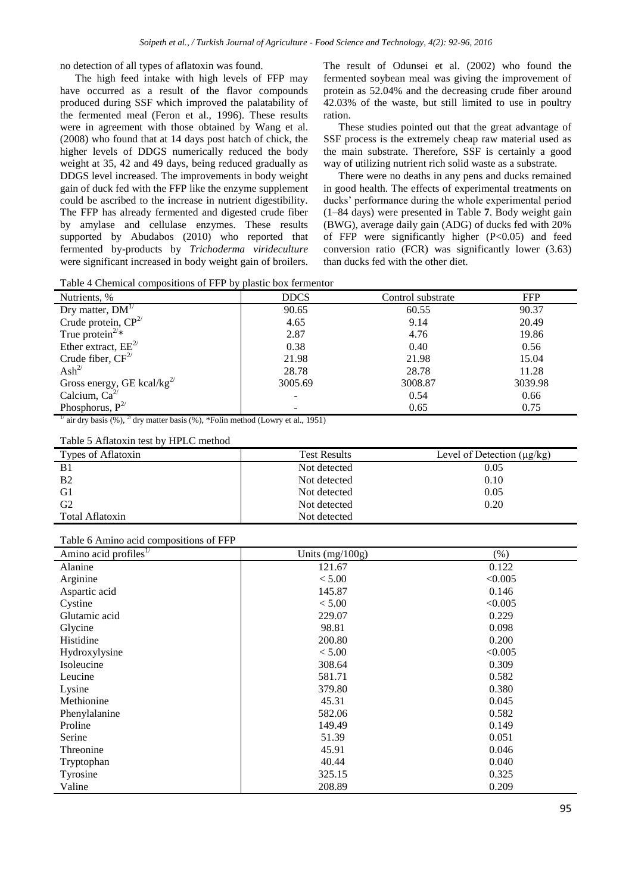no detection of all types of aflatoxin was found.

The high feed intake with high levels of FFP may have occurred as a result of the flavor compounds produced during SSF which improved the palatability of the fermented meal (Feron et al., 1996). These results were in agreement with those obtained by Wang et al. (2008) who found that at 14 days post hatch of chick, the higher levels of DDGS numerically reduced the body weight at 35, 42 and 49 days, being reduced gradually as DDGS level increased. The improvements in body weight gain of duck fed with the FFP like the enzyme supplement could be ascribed to the increase in nutrient digestibility. The FFP has already fermented and digested crude fiber by amylase and cellulase enzymes. These results supported by Abudabos (2010) who reported that fermented by-products by *Trichoderma virideculture* were significant increased in body weight gain of broilers.

The result of Odunsei et al. (2002) who found the fermented soybean meal was giving the improvement of protein as 52.04% and the decreasing crude fiber around 42.03% of the waste, but still limited to use in poultry ration.

These studies pointed out that the great advantage of SSF process is the extremely cheap raw material used as the main substrate. Therefore, SSF is certainly a good way of utilizing nutrient rich solid waste as a substrate.

There were no deaths in any pens and ducks remained in good health. The effects of experimental treatments on ducks' performance during the whole experimental period (1–84 days) were presented in Table **7**. Body weight gain (BWG), average daily gain (ADG) of ducks fed with 20% of FFP were significantly higher (P<0.05) and feed conversion ratio (FCR) was significantly lower (3.63) than ducks fed with the other diet.

Table 4 Chemical compositions of FFP by plastic box fermentor

| . .<br>Nutrients, %                               | <b>DDCS</b> | Control substrate | <b>FFP</b> |
|---------------------------------------------------|-------------|-------------------|------------|
| Dry matter, $DM^{\mathcal{T}}$                    | 90.65       | 60.55             | 90.37      |
| Crude protein, $CP^{2/}$                          | 4.65        | 9.14              | 20.49      |
| True protein <sup><math>2/*</math></sup>          | 2.87        | 4.76              | 19.86      |
| Ether extract, $EE^{2/3}$                         | 0.38        | 0.40              | 0.56       |
| Crude fiber, $CF2/$                               | 21.98       | 21.98             | 15.04      |
| $\text{Ash}^{2\ell}$                              | 28.78       | 28.78             | 11.28      |
| Gross energy, GE kcal/kg <sup>2/</sup>            | 3005.69     | 3008.87           | 3039.98    |
| Calcium, $Ca^{2/}$                                | -           | 0.54              | 0.66       |
| Phosphorus, $P^{2/3}$<br>$\overline{\phantom{a}}$ | -           | 0.65              | 0.75       |

<sup>1/</sup> air dry basis (%), <sup>2/</sup> dry matter basis (%), \*Folin method (Lowry et al., 1951)

| Types of Aflatoxin | <b>Test Results</b> | Level of Detection $(\mu g/kg)$ |
|--------------------|---------------------|---------------------------------|
| <b>B</b> 1         | Not detected        | 0.05                            |
| <b>B2</b>          | Not detected        | 0.10                            |
| G1                 | Not detected        | 0.05                            |
| G <sub>2</sub>     | Not detected        | 0.20                            |
| Total Aflatoxin    | Not detected        |                                 |

Table 6 Amino acid compositions of FFP

| $\mathbf{r}$<br>Amino acid profiles $^{1/}$ | Units $(mg/100g)$ | $(\%)$  |
|---------------------------------------------|-------------------|---------|
| Alanine                                     | 121.67            | 0.122   |
| Arginine                                    | < 5.00            | < 0.005 |
| Aspartic acid                               | 145.87            | 0.146   |
| Cystine                                     | < 5.00            | < 0.005 |
| Glutamic acid                               | 229.07            | 0.229   |
| Glycine                                     | 98.81             | 0.098   |
| Histidine                                   | 200.80            | 0.200   |
| Hydroxylysine                               | < 5.00            | < 0.005 |
| Isoleucine                                  | 308.64            | 0.309   |
| Leucine                                     | 581.71            | 0.582   |
| Lysine                                      | 379.80            | 0.380   |
| Methionine                                  | 45.31             | 0.045   |
| Phenylalanine                               | 582.06            | 0.582   |
| Proline                                     | 149.49            | 0.149   |
| Serine                                      | 51.39             | 0.051   |
| Threonine                                   | 45.91             | 0.046   |
| Tryptophan                                  | 40.44             | 0.040   |
| Tyrosine                                    | 325.15            | 0.325   |
| Valine                                      | 208.89            | 0.209   |